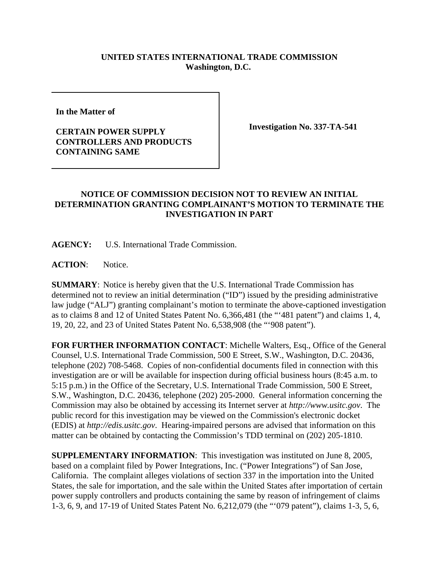## **UNITED STATES INTERNATIONAL TRADE COMMISSION Washington, D.C.**

**In the Matter of** 

## **CERTAIN POWER SUPPLY CONTROLLERS AND PRODUCTS CONTAINING SAME**

**Investigation No. 337-TA-541**

## **NOTICE OF COMMISSION DECISION NOT TO REVIEW AN INITIAL DETERMINATION GRANTING COMPLAINANT'S MOTION TO TERMINATE THE INVESTIGATION IN PART**

**AGENCY:** U.S. International Trade Commission.

**ACTION**: Notice.

**SUMMARY**: Notice is hereby given that the U.S. International Trade Commission has determined not to review an initial determination ("ID") issued by the presiding administrative law judge ("ALJ") granting complainant's motion to terminate the above-captioned investigation as to claims 8 and 12 of United States Patent No. 6,366,481 (the "'481 patent") and claims 1, 4, 19, 20, 22, and 23 of United States Patent No. 6,538,908 (the "'908 patent").

**FOR FURTHER INFORMATION CONTACT**: Michelle Walters, Esq., Office of the General Counsel, U.S. International Trade Commission, 500 E Street, S.W., Washington, D.C. 20436, telephone (202) 708-5468. Copies of non-confidential documents filed in connection with this investigation are or will be available for inspection during official business hours (8:45 a.m. to 5:15 p.m.) in the Office of the Secretary, U.S. International Trade Commission, 500 E Street, S.W., Washington, D.C. 20436, telephone (202) 205-2000. General information concerning the Commission may also be obtained by accessing its Internet server at *http://www.usitc.gov*. The public record for this investigation may be viewed on the Commission's electronic docket (EDIS) at *http://edis.usitc.gov*. Hearing-impaired persons are advised that information on this matter can be obtained by contacting the Commission's TDD terminal on (202) 205-1810.

**SUPPLEMENTARY INFORMATION**: This investigation was instituted on June 8, 2005, based on a complaint filed by Power Integrations, Inc. ("Power Integrations") of San Jose, California. The complaint alleges violations of section 337 in the importation into the United States, the sale for importation, and the sale within the United States after importation of certain power supply controllers and products containing the same by reason of infringement of claims 1-3, 6, 9, and 17-19 of United States Patent No. 6,212,079 (the "'079 patent"), claims 1-3, 5, 6,